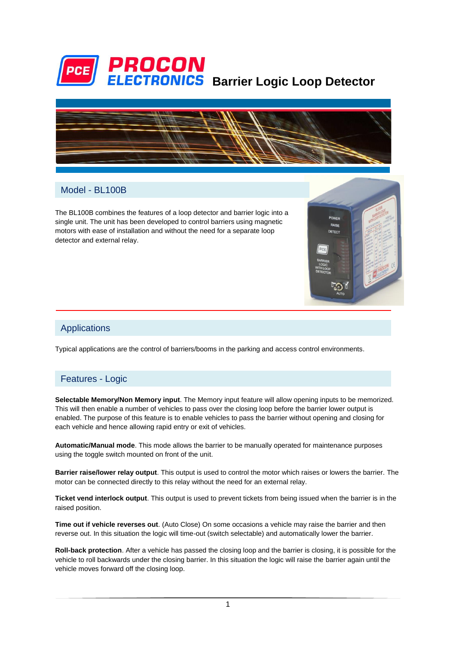



RAIOE

### Model - BL100B

The BL100B combines the features of a loop detector and barrier logic into a single unit. The unit has been developed to control barriers using magnetic motors with ease of installation and without the need for a separate loop detector and external relay.

### Applications

Typical applications are the control of barriers/booms in the parking and access control environments.

### Features - Logic

**Selectable Memory/Non Memory input**. The Memory input feature will allow opening inputs to be memorized. This will then enable a number of vehicles to pass over the closing loop before the barrier lower output is enabled. The purpose of this feature is to enable vehicles to pass the barrier without opening and closing for each vehicle and hence allowing rapid entry or exit of vehicles.

**Automatic/Manual mode**. This mode allows the barrier to be manually operated for maintenance purposes using the toggle switch mounted on front of the unit.

**Barrier raise/lower relay output**. This output is used to control the motor which raises or lowers the barrier. The motor can be connected directly to this relay without the need for an external relay.

**Ticket vend interlock output**. This output is used to prevent tickets from being issued when the barrier is in the raised position.

**Time out if vehicle reverses out**. (Auto Close) On some occasions a vehicle may raise the barrier and then reverse out. In this situation the logic will time-out (switch selectable) and automatically lower the barrier.

**Roll-back protection**. After a vehicle has passed the closing loop and the barrier is closing, it is possible for the vehicle to roll backwards under the closing barrier. In this situation the logic will raise the barrier again until the vehicle moves forward off the closing loop.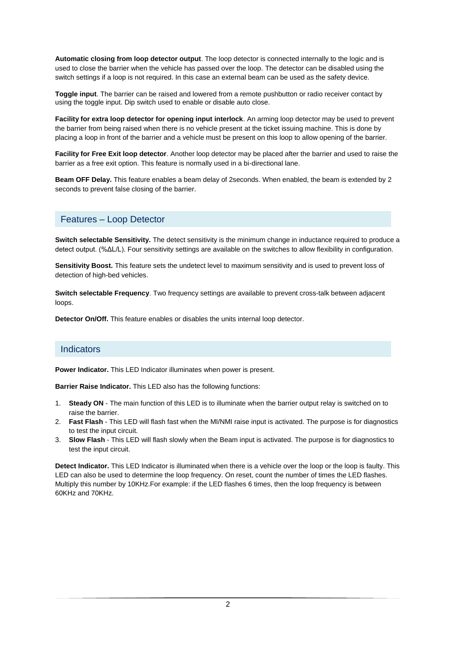**Automatic closing from loop detector output**. The loop detector is connected internally to the logic and is used to close the barrier when the vehicle has passed over the loop. The detector can be disabled using the switch settings if a loop is not required. In this case an external beam can be used as the safety device.

**Toggle input**. The barrier can be raised and lowered from a remote pushbutton or radio receiver contact by using the toggle input. Dip switch used to enable or disable auto close.

**Facility for extra loop detector for opening input interlock**. An arming loop detector may be used to prevent the barrier from being raised when there is no vehicle present at the ticket issuing machine. This is done by placing a loop in front of the barrier and a vehicle must be present on this loop to allow opening of the barrier.

**Facility for Free Exit loop detector**. Another loop detector may be placed after the barrier and used to raise the barrier as a free exit option. This feature is normally used in a bi-directional lane.

**Beam OFF Delay.** This feature enables a beam delay of 2seconds. When enabled, the beam is extended by 2 seconds to prevent false closing of the barrier.

### Features – Loop Detector

**Switch selectable Sensitivity.** The detect sensitivity is the minimum change in inductance required to produce a detect output. (%ΔL/L). Four sensitivity settings are available on the switches to allow flexibility in configuration.

**Sensitivity Boost.** This feature sets the undetect level to maximum sensitivity and is used to prevent loss of detection of high-bed vehicles.

**Switch selectable Frequency**. Two frequency settings are available to prevent cross-talk between adjacent loops.

**Detector On/Off.** This feature enables or disables the units internal loop detector.

#### **Indicators**

**Power Indicator.** This LED Indicator illuminates when power is present.

**Barrier Raise Indicator.** This LED also has the following functions:

- 1. **Steady ON** The main function of this LED is to illuminate when the barrier output relay is switched on to raise the barrier.
- 2. **Fast Flash** This LED will flash fast when the MI/NMI raise input is activated. The purpose is for diagnostics to test the input circuit.
- 3. **Slow Flash** This LED will flash slowly when the Beam input is activated. The purpose is for diagnostics to test the input circuit.

**Detect Indicator.** This LED Indicator is illuminated when there is a vehicle over the loop or the loop is faulty. This LED can also be used to determine the loop frequency. On reset, count the number of times the LED flashes. Multiply this number by 10KHz.For example: if the LED flashes 6 times, then the loop frequency is between 60KHz and 70KHz.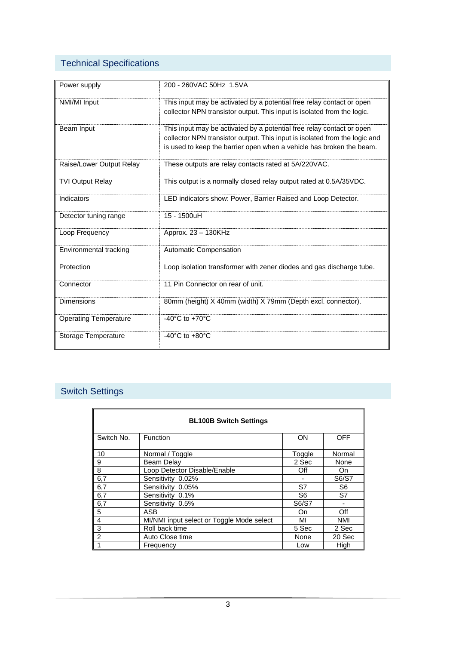# Technical Specifications

| Power supply                 | 200 - 260VAC 50Hz 1.5VA                                                                                                                                                                                                     |
|------------------------------|-----------------------------------------------------------------------------------------------------------------------------------------------------------------------------------------------------------------------------|
| NMI/MI Input                 | This input may be activated by a potential free relay contact or open<br>collector NPN transistor output. This input is isolated from the logic.                                                                            |
| Beam Input                   | This input may be activated by a potential free relay contact or open<br>collector NPN transistor output. This input is isolated from the logic and<br>is used to keep the barrier open when a vehicle has broken the beam. |
| Raise/Lower Output Relay     | These outputs are relay contacts rated at 5A/220VAC.                                                                                                                                                                        |
| <b>TVI Output Relay</b>      | This output is a normally closed relay output rated at 0.5A/35VDC.                                                                                                                                                          |
| Indicators                   | LED indicators show: Power, Barrier Raised and Loop Detector.                                                                                                                                                               |
| Detector tuning range        | 15 - 1500uH                                                                                                                                                                                                                 |
| Loop Frequency               | Approx. 23 - 130KHz                                                                                                                                                                                                         |
| Environmental tracking       | Automatic Compensation                                                                                                                                                                                                      |
| Protection                   | Loop isolation transformer with zener diodes and gas discharge tube.                                                                                                                                                        |
| Connector                    | 11 Pin Connector on rear of unit.                                                                                                                                                                                           |
| <b>Dimensions</b>            | 80mm (height) X 40mm (width) X 79mm (Depth excl. connector).                                                                                                                                                                |
| <b>Operating Temperature</b> | -40 $^{\circ}$ C to +70 $^{\circ}$ C                                                                                                                                                                                        |
| Storage Temperature          | -40 $^{\circ}$ C to +80 $^{\circ}$ C                                                                                                                                                                                        |

# Switch Settings

| <b>BL100B Switch Settings</b> |                                           |                |                |  |
|-------------------------------|-------------------------------------------|----------------|----------------|--|
| Switch No.                    | Function                                  | <b>ON</b>      | <b>OFF</b>     |  |
| 10                            | Normal / Toggle                           | Toggle         | Normal         |  |
| 9                             | Beam Delay                                | 2 Sec          | None           |  |
| 8                             | Loop Detector Disable/Enable              | Off            | On             |  |
| 6,7                           | Sensitivity 0.02%                         |                | S6/S7          |  |
| 6,7                           | Sensitivity 0.05%                         | S7             | S <sub>6</sub> |  |
| 6,7                           | Sensitivity 0.1%                          | S <sub>6</sub> | S7             |  |
| 6,7                           | Sensitivity 0.5%                          | S6/S7          |                |  |
| 5                             | ASB                                       | On             | Off            |  |
| 4                             | MI/NMI input select or Toggle Mode select | MI             | <b>NMI</b>     |  |
| 3                             | Roll back time                            | 5 Sec          | 2 Sec          |  |
| $\overline{2}$                | Auto Close time                           | None           | 20 Sec         |  |
|                               | Frequency                                 | Low            | High           |  |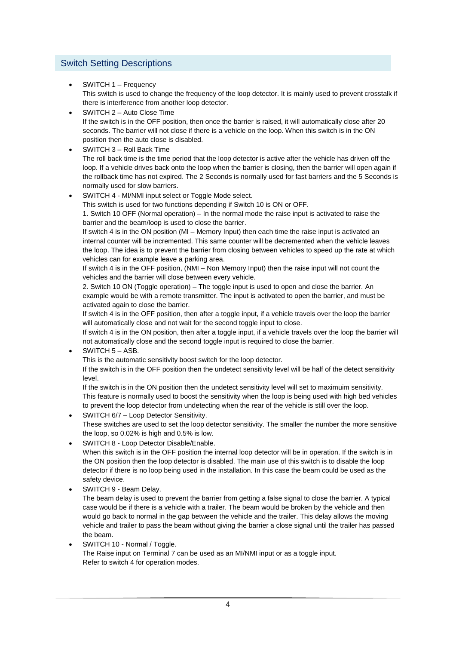## Switch Setting Descriptions

SWITCH 1 – Frequency

This switch is used to change the frequency of the loop detector. It is mainly used to prevent crosstalk if there is interference from another loop detector.

- SWITCH 2 Auto Close Time If the switch is in the OFF position, then once the barrier is raised, it will automatically close after 20 seconds. The barrier will not close if there is a vehicle on the loop. When this switch is in the ON position then the auto close is disabled.
- SWITCH 3 Roll Back Time The roll back time is the time period that the loop detector is active after the vehicle has driven off the loop. If a vehicle drives back onto the loop when the barrier is closing, then the barrier will open again if the rollback time has not expired. The 2 Seconds is normally used for fast barriers and the 5 Seconds is normally used for slow barriers.
- SWITCH 4 MI/NMI input select or Toggle Mode select.

This switch is used for two functions depending if Switch 10 is ON or OFF.

1. Switch 10 OFF (Normal operation) – In the normal mode the raise input is activated to raise the barrier and the beam/loop is used to close the barrier.

If switch 4 is in the ON position (MI – Memory Input) then each time the raise input is activated an internal counter will be incremented. This same counter will be decremented when the vehicle leaves the loop. The idea is to prevent the barrier from closing between vehicles to speed up the rate at which vehicles can for example leave a parking area.

If switch 4 is in the OFF position, (NMI – Non Memory Input) then the raise input will not count the vehicles and the barrier will close between every vehicle.

2. Switch 10 ON (Toggle operation) – The toggle input is used to open and close the barrier. An example would be with a remote transmitter. The input is activated to open the barrier, and must be activated again to close the barrier.

If switch 4 is in the OFF position, then after a toggle input, if a vehicle travels over the loop the barrier will automatically close and not wait for the second toggle input to close.

If switch 4 is in the ON position, then after a toggle input, if a vehicle travels over the loop the barrier will not automatically close and the second toggle input is required to close the barrier.

SWITCH 5 – ASB.

This is the automatic sensitivity boost switch for the loop detector.

If the switch is in the OFF position then the undetect sensitivity level will be half of the detect sensitivity level.

If the switch is in the ON position then the undetect sensitivity level will set to maximuim sensitivity. This feature is normally used to boost the sensitivity when the loop is being used with high bed vehicles to prevent the loop detector from undetecting when the rear of the vehicle is still over the loop.

SWITCH 6/7 – Loop Detector Sensitivity.

These switches are used to set the loop detector sensitivity. The smaller the number the more sensitive the loop, so 0.02% is high and 0.5% is low.

SWITCH 8 - Loop Detector Disable/Enable.

When this switch is in the OFF position the internal loop detector will be in operation. If the switch is in the ON position then the loop detector is disabled. The main use of this switch is to disable the loop detector if there is no loop being used in the installation. In this case the beam could be used as the safety device.

SWITCH 9 - Beam Delay.

The beam delay is used to prevent the barrier from getting a false signal to close the barrier. A typical case would be if there is a vehicle with a trailer. The beam would be broken by the vehicle and then would go back to normal in the gap between the vehicle and the trailer. This delay allows the moving vehicle and trailer to pass the beam without giving the barrier a close signal until the trailer has passed the beam.

 SWITCH 10 - Normal / Toggle. The Raise input on Terminal 7 can be used as an MI/NMI input or as a toggle input. Refer to switch 4 for operation modes.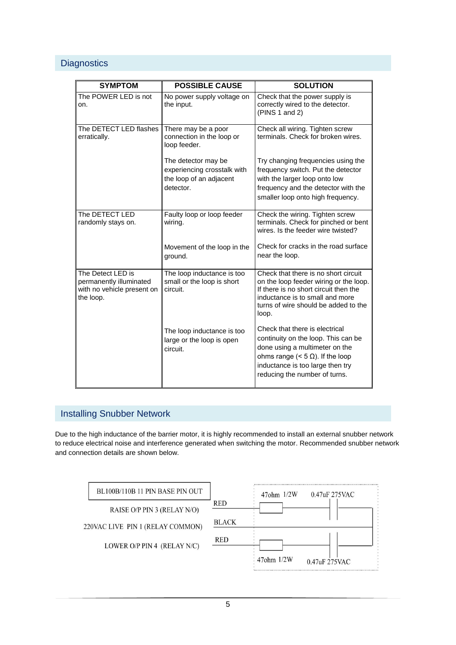### **Diagnostics**

| <b>SYMPTOM</b>                                                                          | <b>POSSIBLE CAUSE</b>                                                                      | <b>SOLUTION</b>                                                                                                                                                                                                            |
|-----------------------------------------------------------------------------------------|--------------------------------------------------------------------------------------------|----------------------------------------------------------------------------------------------------------------------------------------------------------------------------------------------------------------------------|
| The POWER LED is not<br>on.                                                             | No power supply voltage on<br>the input.                                                   | Check that the power supply is<br>correctly wired to the detector.<br>(PINS 1 and 2)                                                                                                                                       |
| The DETECT LED flashes<br>erratically.                                                  | There may be a poor<br>connection in the loop or<br>loop feeder.                           | Check all wiring. Tighten screw<br>terminals. Check for broken wires.                                                                                                                                                      |
|                                                                                         | The detector may be<br>experiencing crosstalk with<br>the loop of an adjacent<br>detector. | Try changing frequencies using the<br>frequency switch. Put the detector<br>with the larger loop onto low<br>frequency and the detector with the<br>smaller loop onto high frequency.                                      |
| The DETECT LED<br>randomly stays on.                                                    | Faulty loop or loop feeder<br>wiring.                                                      | Check the wiring. Tighten screw<br>terminals. Check for pinched or bent<br>wires. Is the feeder wire twisted?                                                                                                              |
|                                                                                         | Movement of the loop in the<br>ground.                                                     | Check for cracks in the road surface<br>near the loop.                                                                                                                                                                     |
| The Detect LED is<br>permanently illuminated<br>with no vehicle present on<br>the loop. | The loop inductance is too<br>small or the loop is short<br>circuit.                       | Check that there is no short circuit<br>on the loop feeder wiring or the loop.<br>If there is no short circuit then the<br>inductance is to small and more<br>turns of wire should be added to the<br>loop.                |
|                                                                                         | The loop inductance is too<br>large or the loop is open<br>circuit.                        | Check that there is electrical<br>continuity on the loop. This can be<br>done using a multimeter on the<br>ohms range ( $<$ 5 $\Omega$ ). If the loop<br>inductance is too large then try<br>reducing the number of turns. |

# Installing Snubber Network

Due to the high inductance of the barrier motor, it is highly recommended to install an external snubber network to reduce electrical noise and interference generated when switching the motor. Recommended snubber network and connection details are shown below.

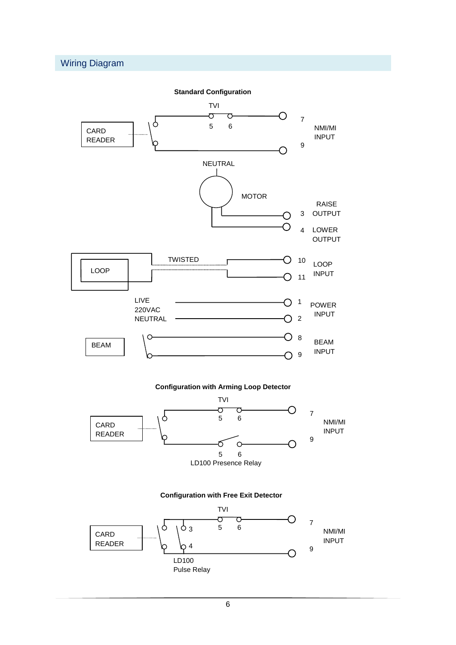